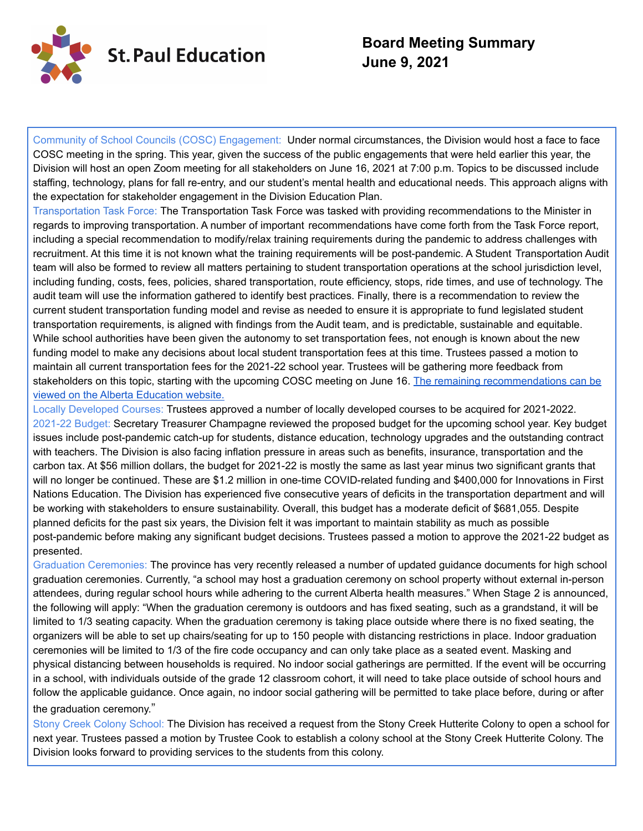

## **Board Meeting Summary June 9, 2021**

Community of School Councils (COSC) Engagement: Under normal circumstances, the Division would host a face to face COSC meeting in the spring. This year, given the success of the public engagements that were held earlier this year, the Division will host an open Zoom meeting for all stakeholders on June 16, 2021 at 7:00 p.m. Topics to be discussed include staffing, technology, plans for fall re-entry, and our student's mental health and educational needs. This approach aligns with the expectation for stakeholder engagement in the Division Education Plan.

Transportation Task Force: The Transportation Task Force was tasked with providing recommendations to the Minister in regards to improving transportation. A number of important recommendations have come forth from the Task Force report, including a special recommendation to modify/relax training requirements during the pandemic to address challenges with recruitment. At this time it is not known what the training requirements will be post-pandemic. A Student Transportation Audit team will also be formed to review all matters pertaining to student transportation operations at the school jurisdiction level, including funding, costs, fees, policies, shared transportation, route efficiency, stops, ride times, and use of technology. The audit team will use the information gathered to identify best practices. Finally, there is a recommendation to review the current student transportation funding model and revise as needed to ensure it is appropriate to fund legislated student transportation requirements, is aligned with findings from the Audit team, and is predictable, sustainable and equitable. While school authorities have been given the autonomy to set transportation fees, not enough is known about the new funding model to make any decisions about local student transportation fees at this time. Trustees passed a motion to maintain all current transportation fees for the 2021-22 school year. Trustees will be gathering more feedback from stakeholders on this topic, starting with the upcoming COSC meeting on June 16. The remaining [recommendations](https://www.alberta.ca/student-transportation-task-force.aspx) can be viewed on the Alberta [Education](https://www.alberta.ca/student-transportation-task-force.aspx) website.

Locally Developed Courses: Trustees approved a number of locally developed courses to be acquired for 2021-2022. 2021-22 Budget: Secretary Treasurer Champagne reviewed the proposed budget for the upcoming school year. Key budget issues include post-pandemic catch-up for students, distance education, technology upgrades and the outstanding contract with teachers. The Division is also facing inflation pressure in areas such as benefits, insurance, transportation and the carbon tax. At \$56 million dollars, the budget for 2021-22 is mostly the same as last year minus two significant grants that will no longer be continued. These are \$1.2 million in one-time COVID-related funding and \$400,000 for Innovations in First Nations Education. The Division has experienced five consecutive years of deficits in the transportation department and will be working with stakeholders to ensure sustainability. Overall, this budget has a moderate deficit of \$681,055. Despite planned deficits for the past six years, the Division felt it was important to maintain stability as much as possible post-pandemic before making any significant budget decisions. Trustees passed a motion to approve the 2021-22 budget as presented.

Graduation Ceremonies: The province has very recently released a number of updated guidance documents for high school graduation ceremonies. Currently, "a school may host a graduation ceremony on school property without external in-person attendees, during regular school hours while adhering to the current Alberta health measures." When Stage 2 is announced, the following will apply: "When the graduation ceremony is outdoors and has fixed seating, such as a grandstand, it will be limited to 1/3 seating capacity. When the graduation ceremony is taking place outside where there is no fixed seating, the organizers will be able to set up chairs/seating for up to 150 people with distancing restrictions in place. Indoor graduation ceremonies will be limited to 1/3 of the fire code occupancy and can only take place as a seated event. Masking and physical distancing between households is required. No indoor social gatherings are permitted. If the event will be occurring in a school, with individuals outside of the grade 12 classroom cohort, it will need to take place outside of school hours and follow the applicable guidance. Once again, no indoor social gathering will be permitted to take place before, during or after the graduation ceremony."

Stony Creek Colony School: The Division has received a request from the Stony Creek Hutterite Colony to open a school for next year. Trustees passed a motion by Trustee Cook to establish a colony school at the Stony Creek Hutterite Colony. The Division looks forward to providing services to the students from this colony.